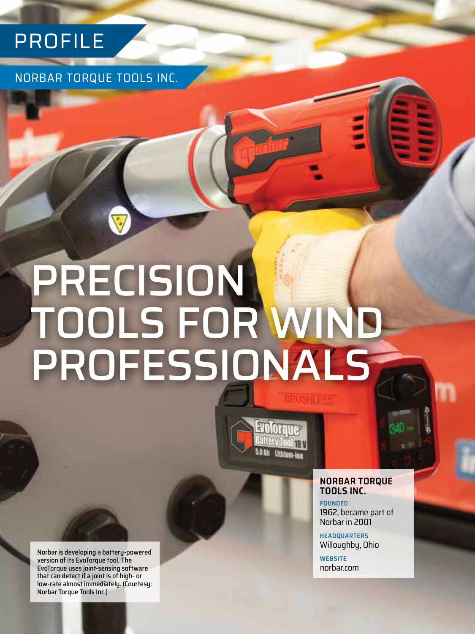# PROFILE

NORBAR TORQUE TOOLS INC.

# PRECISION TOOLS FOR WIND PROFESSIONALS



#### **NORBAR TORQUE TOOLS INC.**

**FOUNDED** 1962, became part of Norbar in 2001

**HEADQUARTERS** Willoughby, Ohio

**WEBSITE** [norbar.com](http://norbar.com)

Norbar is developing a battery-powered version of its EvoTorque tool. The EvoTorque uses joint-sensing software that can detect if a joint is of high- or low-rate almost immediately. (Courtesy: Norbar Torque Tools Inc.)

**22** OCTOBER 2019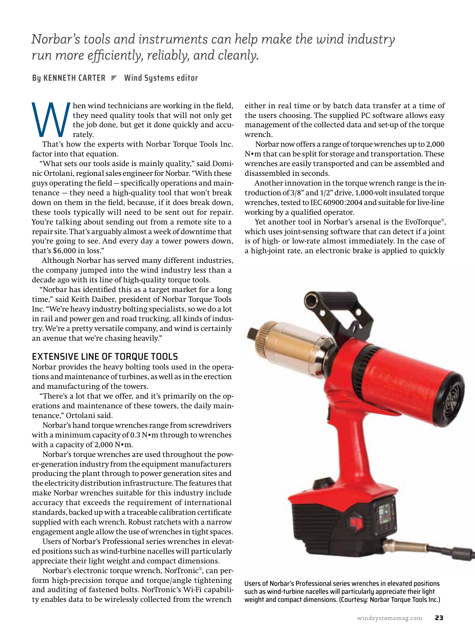## *Norbar's tools and instruments can help make the wind industry run more efficiently, reliably, and cleanly.*

**By KENNETH CARTER Wind Systems editor**

Men wind technicians are working in the field, they need quality tools that will not only get the job done, but get it done quickly and accurately.<br>That's how the experts with Norbar Torque Tools Inc. they need quality tools that will not only get the job done, but get it done quickly and accurately.

factor into that equation.

"What sets our tools aside is mainly quality," said Dominic Ortolani, regional sales engineer for Norbar. "With these guys operating the field — specifically operations and maintenance — they need a high-quality tool that won't break down on them in the field, because, if it does break down, these tools typically will need to be sent out for repair. You're talking about sending out from a remote site to a repair site. That's arguably almost a week of downtime that you're going to see. And every day a tower powers down, that's \$6,000 in loss."

Although Norbar has served many different industries, the company jumped into the wind industry less than a decade ago with its line of high-quality torque tools.

"Norbar has identified this as a target market for a long time," said Keith Daiber, president of Norbar Torque Tools Inc. "We're heavy industry bolting specialists, so we do a lot in rail and power gen and road trucking, all kinds of industry. We're a pretty versatile company, and wind is certainly an avenue that we're chasing heavily."

#### EXTENSIVE LINE OF TORQUE TOOLS

Norbar provides the heavy bolting tools used in the operations and maintenance of turbines, as well as in the erection and manufacturing of the towers.

"There's a lot that we offer, and it's primarily on the operations and maintenance of these towers, the daily maintenance," Ortolani said.

Norbar's hand torque wrenches range from screwdrivers with a minimum capacity of 0.3 N•m through to wrenches with a capacity of 2,000 N•m.

Norbar's torque wrenches are used throughout the power-generation industry from the equipment manufacturers producing the plant through to power generation sites and the electricity distribution infrastructure. The features that make Norbar wrenches suitable for this industry include accuracy that exceeds the requirement of international standards, backed up with a traceable calibration certificate supplied with each wrench. Robust ratchets with a narrow engagement angle allow the use of wrenches in tight spaces.

Users of Norbar's Professional series wrenches in elevated positions such as wind-turbine nacelles will particularly appreciate their light weight and compact dimensions.

Norbar's electronic torque wrench, NorTronic®, can perform high-precision torque and torque/angle tightening and auditing of fastened bolts. NorTronic's Wi-Fi capability enables data to be wirelessly collected from the wrench

either in real time or by batch data transfer at a time of the users choosing. The supplied PC software allows easy management of the collected data and set-up of the torque wrench.

Norbar now offers a range of torque wrenches up to 2,000 N•m that can be split for storage and transportation. These wrenches are easily transported and can be assembled and disassembled in seconds.

Another innovation in the torque wrench range is the introduction of 3/8" and 1/2" drive, 1,000-volt insulated torque wrenches, tested to IEC 60900:2004 and suitable for live-line working by a qualified operator.

Yet another tool in Norbar's arsenal is the EvoTorque®, which uses joint-sensing software that can detect if a joint is of high- or low-rate almost immediately. In the case of a high-joint rate, an electronic brake is applied to quickly



Users of Norbar's Professional series wrenches in elevated positions such as wind-turbine nacelles will particularly appreciate their light weight and compact dimensions. (Courtesy: Norbar Torque Tools Inc.)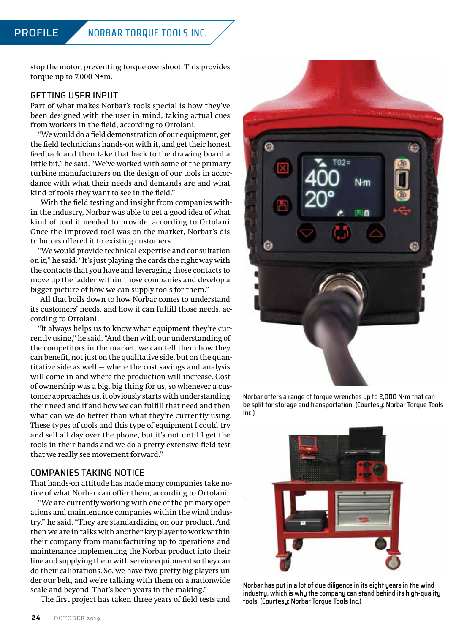### PROFILE NORBAR TORQUE TOOLS INC.

stop the motor, preventing torque overshoot. This provides torque up to 7,000 N•m.

#### GETTING USER INPUT

Part of what makes Norbar's tools special is how they've been designed with the user in mind, taking actual cues from workers in the field, according to Ortolani.

"We would do a field demonstration of our equipment, get the field technicians hands-on with it, and get their honest feedback and then take that back to the drawing board a little bit," he said. "We've worked with some of the primary turbine manufacturers on the design of our tools in accordance with what their needs and demands are and what kind of tools they want to see in the field."

With the field testing and insight from companies within the industry, Norbar was able to get a good idea of what kind of tool it needed to provide, according to Ortolani. Once the improved tool was on the market, Norbar's distributors offered it to existing customers.

"We would provide technical expertise and consultation on it," he said. "It's just playing the cards the right way with the contacts that you have and leveraging those contacts to move up the ladder within those companies and develop a bigger picture of how we can supply tools for them."

All that boils down to how Norbar comes to understand its customers' needs, and how it can fulfill those needs, according to Ortolani.

"It always helps us to know what equipment they're currently using," he said. "And then with our understanding of the competitors in the market, we can tell them how they can benefit, not just on the qualitative side, but on the quantitative side as well — where the cost savings and analysis will come in and where the production will increase. Cost of ownership was a big, big thing for us, so whenever a customer approaches us, it obviously starts with understanding their need and if and how we can fulfill that need and then what can we do better than what they're currently using. These types of tools and this type of equipment I could try and sell all day over the phone, but it's not until I get the tools in their hands and we do a pretty extensive field test that we really see movement forward."

#### COMPANIES TAKING NOTICE

That hands-on attitude has made many companies take notice of what Norbar can offer them, according to Ortolani.

"We are currently working with one of the primary operations and maintenance companies within the wind industry," he said. "They are standardizing on our product. And then we are in talks with another key player to work within their company from manufacturing up to operations and maintenance implementing the Norbar product into their line and supplying them with service equipment so they can do their calibrations. So, we have two pretty big players under our belt, and we're talking with them on a nationwide scale and beyond. That's been years in the making."

The first project has taken three years of field tests and



Norbar offers a range of torque wrenches up to 2,000 N•m that can be split for storage and transportation. (Courtesy: Norbar Torque Tools Inc.)



Norbar has put in a lot of due diligence in its eight years in the wind industry, which is why the company can stand behind its high-quality tools. (Courtesy: Norbar Torque Tools Inc.)